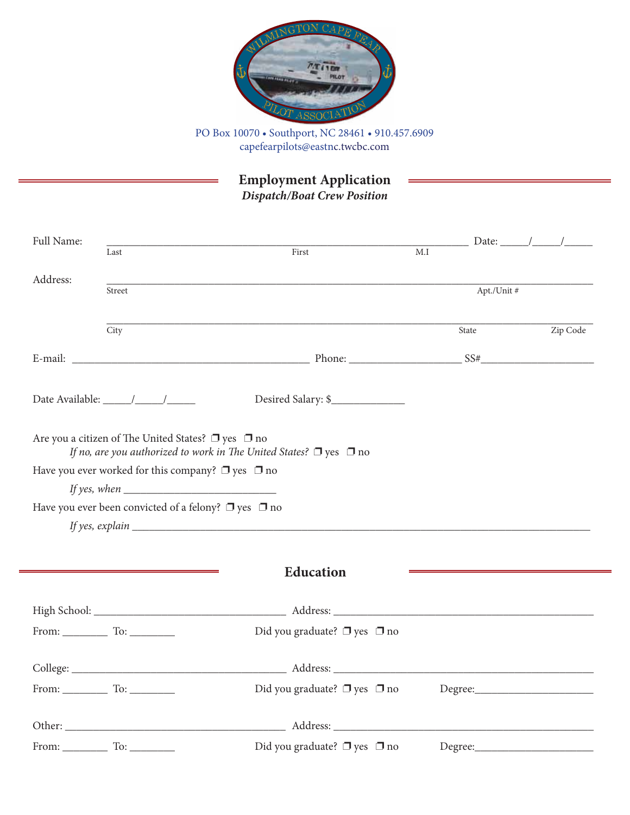

PO Box 10070 • Southport, NC 28461 • 910.457.6909 capefearpilots@eastnc.twcbc.com

**Employment Application**

*Dispatch/Boat Crew Position*

| Full Name: | Last                                                                                                                                                                                                                               | First                                                                                 | $\Box$ Date: $\angle$ /<br>M.I |          |
|------------|------------------------------------------------------------------------------------------------------------------------------------------------------------------------------------------------------------------------------------|---------------------------------------------------------------------------------------|--------------------------------|----------|
| Address:   | Street                                                                                                                                                                                                                             |                                                                                       | Apt./Unit #                    |          |
|            | City                                                                                                                                                                                                                               |                                                                                       | State                          | Zip Code |
|            |                                                                                                                                                                                                                                    | E-mail: Solution of the contract of the contract of $SSE$ and $SS*$ $SS*$ $SS*$ $SS*$ |                                |          |
|            |                                                                                                                                                                                                                                    | Desired Salary: \$                                                                    |                                |          |
|            | Are you a citizen of The United States? $\Box$ yes $\Box$ no<br>If no, are you authorized to work in The United States? $\Box$ yes $\Box$ no<br>Have you ever worked for this company? $\Box$ yes $\Box$ no<br>If yes, when $\_\_$ |                                                                                       |                                |          |
|            | Have you ever been convicted of a felony? $\Box$ yes $\Box$ no                                                                                                                                                                     |                                                                                       |                                |          |
|            |                                                                                                                                                                                                                                    |                                                                                       |                                |          |
|            |                                                                                                                                                                                                                                    | <b>Education</b>                                                                      |                                |          |
|            |                                                                                                                                                                                                                                    |                                                                                       |                                |          |
|            |                                                                                                                                                                                                                                    | Did you graduate? $\Box$ yes $\Box$ no                                                |                                |          |
|            |                                                                                                                                                                                                                                    |                                                                                       |                                |          |
|            |                                                                                                                                                                                                                                    | Did you graduate? $\Box$ yes $\Box$ no                                                |                                |          |
|            |                                                                                                                                                                                                                                    |                                                                                       |                                |          |
|            |                                                                                                                                                                                                                                    | Did you graduate? $\Box$ yes $\Box$ no                                                |                                |          |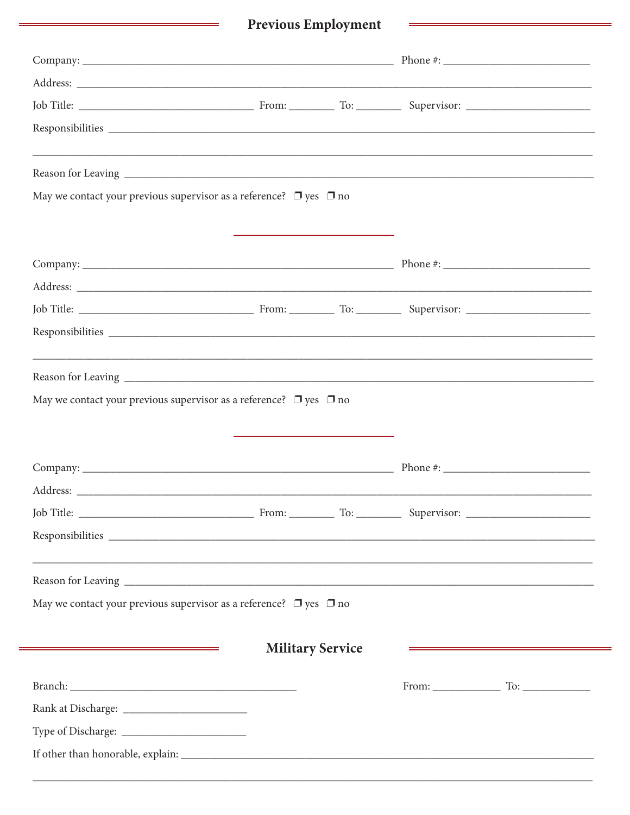## Previous Employment

| May we contact your previous supervisor as a reference? $\Box$ yes $\Box$ no |                                                                           |                         |                                                                                                                        |
|------------------------------------------------------------------------------|---------------------------------------------------------------------------|-------------------------|------------------------------------------------------------------------------------------------------------------------|
|                                                                              | <u> 1989 - Johann Stein, marwolaethau a bhann an t-Alban ann an 1980.</u> |                         |                                                                                                                        |
|                                                                              |                                                                           |                         |                                                                                                                        |
|                                                                              |                                                                           |                         |                                                                                                                        |
|                                                                              |                                                                           |                         |                                                                                                                        |
|                                                                              |                                                                           |                         |                                                                                                                        |
|                                                                              |                                                                           |                         |                                                                                                                        |
|                                                                              |                                                                           |                         |                                                                                                                        |
| May we contact your previous supervisor as a reference? $\Box$ yes $\Box$ no |                                                                           |                         |                                                                                                                        |
|                                                                              |                                                                           |                         |                                                                                                                        |
|                                                                              |                                                                           |                         |                                                                                                                        |
|                                                                              |                                                                           |                         |                                                                                                                        |
|                                                                              |                                                                           |                         |                                                                                                                        |
|                                                                              |                                                                           |                         |                                                                                                                        |
|                                                                              |                                                                           |                         | <u> 1989 - Andrea State Barbara, ann an Cathair ann an t-Aonaichte ann an t-Aonaichte ann an t-Aonaichte ann an t-</u> |
| May we contact your previous supervisor as a reference? $\Box$ yes $\Box$ no |                                                                           |                         |                                                                                                                        |
|                                                                              |                                                                           |                         |                                                                                                                        |
|                                                                              |                                                                           | <b>Military Service</b> |                                                                                                                        |
|                                                                              |                                                                           |                         |                                                                                                                        |
|                                                                              |                                                                           |                         |                                                                                                                        |